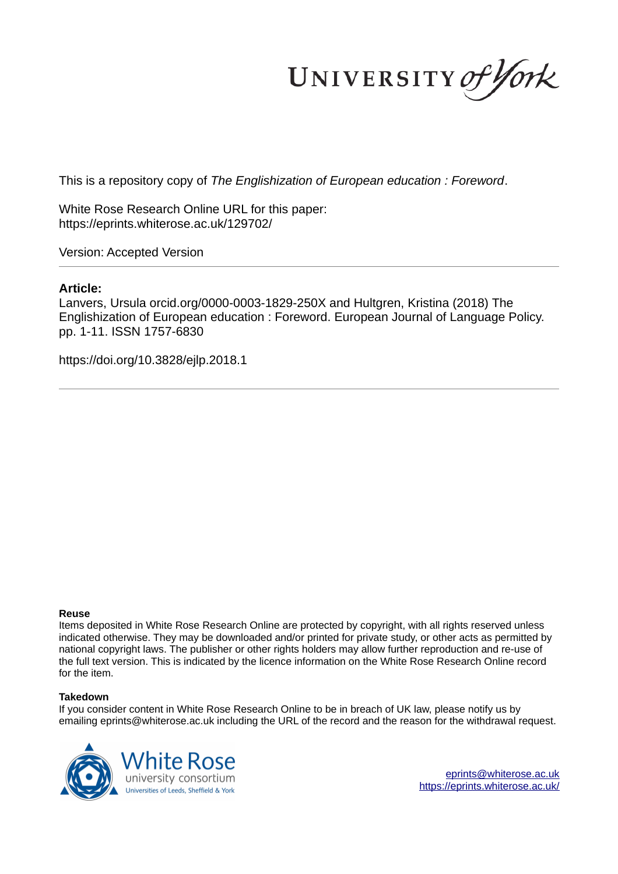UNIVERSITY of York

This is a repository copy of *The Englishization of European education : Foreword*.

White Rose Research Online URL for this paper: https://eprints.whiterose.ac.uk/129702/

Version: Accepted Version

# **Article:**

Lanvers, Ursula orcid.org/0000-0003-1829-250X and Hultgren, Kristina (2018) The Englishization of European education : Foreword. European Journal of Language Policy. pp. 1-11. ISSN 1757-6830

https://doi.org/10.3828/ejlp.2018.1

### **Reuse**

Items deposited in White Rose Research Online are protected by copyright, with all rights reserved unless indicated otherwise. They may be downloaded and/or printed for private study, or other acts as permitted by national copyright laws. The publisher or other rights holders may allow further reproduction and re-use of the full text version. This is indicated by the licence information on the White Rose Research Online record for the item.

### **Takedown**

If you consider content in White Rose Research Online to be in breach of UK law, please notify us by emailing eprints@whiterose.ac.uk including the URL of the record and the reason for the withdrawal request.



eprints@whiterose.ac.uk https://eprints.whiterose.ac.uk/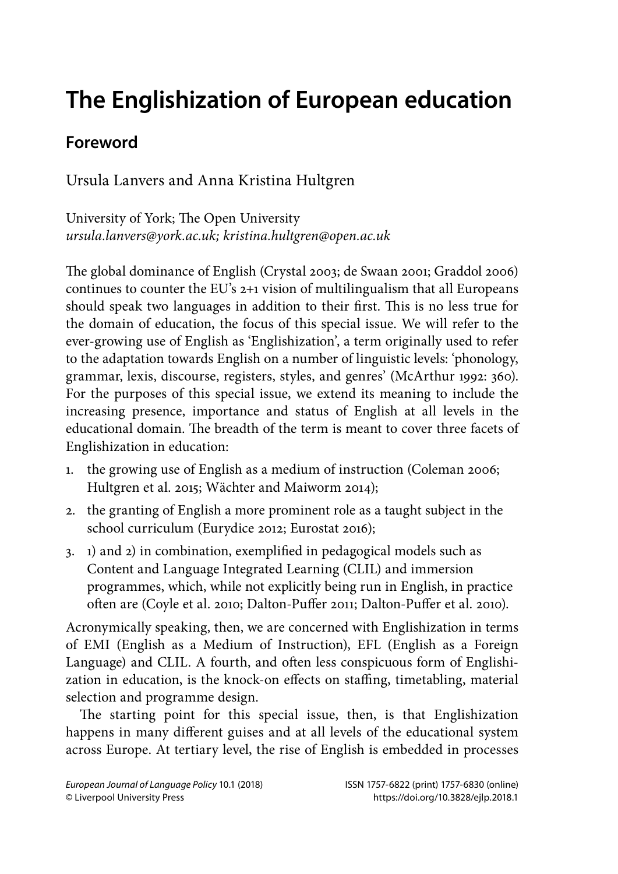# **The Englishization of European education**

# **Foreword**

Ursula Lanvers and Anna Kristina Hultgren

University of York; The Open University ursula.lanvers@york.ac.uk; kristina.hultgren@open.ac.uk

The global dominance of English (Crystal 2003; de Swaan 2001; Graddol 2006) continues to counter the EU's 2+1 vision of multilingualism that all Europeans should speak two languages in addition to their first. This is no less true for the domain of education, the focus of this special issue. We will refer to the ever-growing use of English as 'Englishization', a term originally used to refer to the adaptation towards English on a number of linguistic levels: 'phonology, grammar, lexis, discourse, registers, styles, and genres' (McArthur 1992: 360). For the purposes of this special issue, we extend its meaning to include the increasing presence, importance and status of English at all levels in the educational domain. The breadth of the term is meant to cover three facets of Englishization in education:

- 1. the growing use of English as a medium of instruction (Coleman 2006; Hultgren et al. 2015; Wächter and Maiworm 2014);
- 2. the granting of English a more prominent role as a taught subject in the school curriculum (Eurydice 2012; Eurostat 2016);
- 3. 1) and 2) in combination, exemplified in pedagogical models such as Content and Language Integrated Learning (CLIL) and immersion programmes, which, while not explicitly being run in English, in practice often are (Coyle et al. 2010; Dalton-Puffer 2011; Dalton-Puffer et al. 2010).

Acronymically speaking, then, we are concerned with Englishization in terms of EMI (English as a Medium of Instruction), EFL (English as a Foreign Language) and CLIL. A fourth, and often less conspicuous form of Englishization in education, is the knock-on effects on staffing, timetabling, material selection and programme design.

The starting point for this special issue, then, is that Englishization happens in many different guises and at all levels of the educational system across Europe. At tertiary level, the rise of English is embedded in processes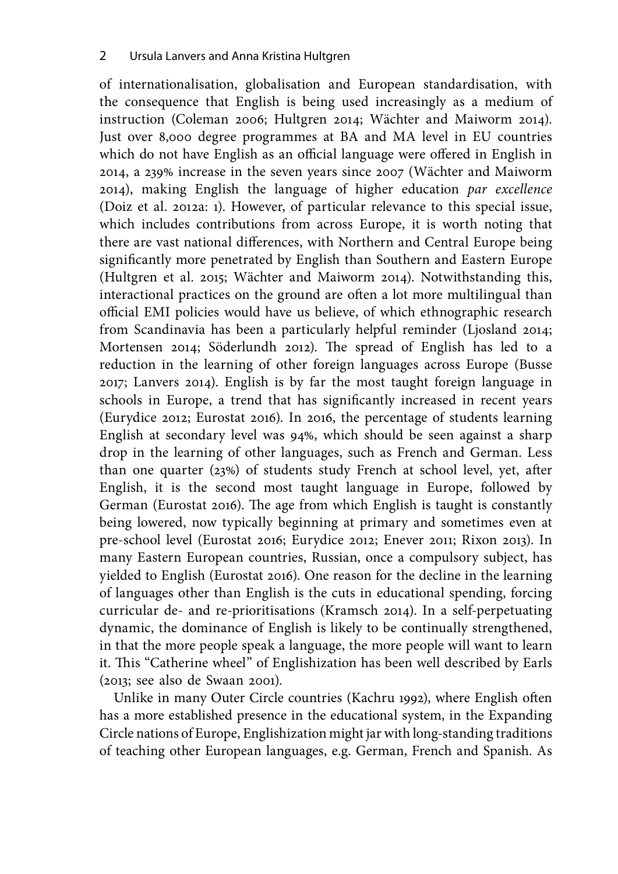of internationalisation, globalisation and European standardisation, with the consequence that English is being used increasingly as a medium of instruction (Coleman 2006; Hultgren 2014; Wächter and Maiworm 2014). Just over 8,000 degree programmes at BA and MA level in EU countries which do not have English as an official language were offered in English in 2014, a 239% increase in the seven years since 2007 (Wächter and Maiworm 2014), making English the language of higher education par excellence (Doiz et al. 2012a: 1). However, of particular relevance to this special issue, which includes contributions from across Europe, it is worth noting that there are vast national differences, with Northern and Central Europe being significantly more penetrated by English than Southern and Eastern Europe (Hultgren et al. 2015; Wächter and Maiworm 2014). Notwithstanding this, interactional practices on the ground are often a lot more multilingual than official EMI policies would have us believe, of which ethnographic research from Scandinavia has been a particularly helpful reminder (Ljosland 2014; Mortensen 2014; Söderlundh 2012). The spread of English has led to a reduction in the learning of other foreign languages across Europe (Busse 2017; Lanvers 2014). English is by far the most taught foreign language in schools in Europe, a trend that has significantly increased in recent years (Eurydice 2012; Eurostat 2016). In 2016, the percentage of students learning English at secondary level was 94%, which should be seen against a sharp drop in the learning of other languages, such as French and German. Less than one quarter (23%) of students study French at school level, yet, after English, it is the second most taught language in Europe, followed by German (Eurostat 2016). The age from which English is taught is constantly being lowered, now typically beginning at primary and sometimes even at pre-school level (Eurostat 2016; Eurydice 2012; Enever 2011; Rixon 2013). In many Eastern European countries, Russian, once a compulsory subject, has yielded to English (Eurostat 2016). One reason for the decline in the learning of languages other than English is the cuts in educational spending, forcing curricular de- and re-prioritisations (Kramsch 2014). In a self-perpetuating dynamic, the dominance of English is likely to be continually strengthened, in that the more people speak a language, the more people will want to learn it. This "Catherine wheel" of Englishization has been well described by Earls (2013; see also de Swaan 2001).

Unlike in many Outer Circle countries (Kachru 1992), where English often has a more established presence in the educational system, in the Expanding Circle nations of Europe, Englishization might jar with long-standing traditions of teaching other European languages, e.g. German, French and Spanish. As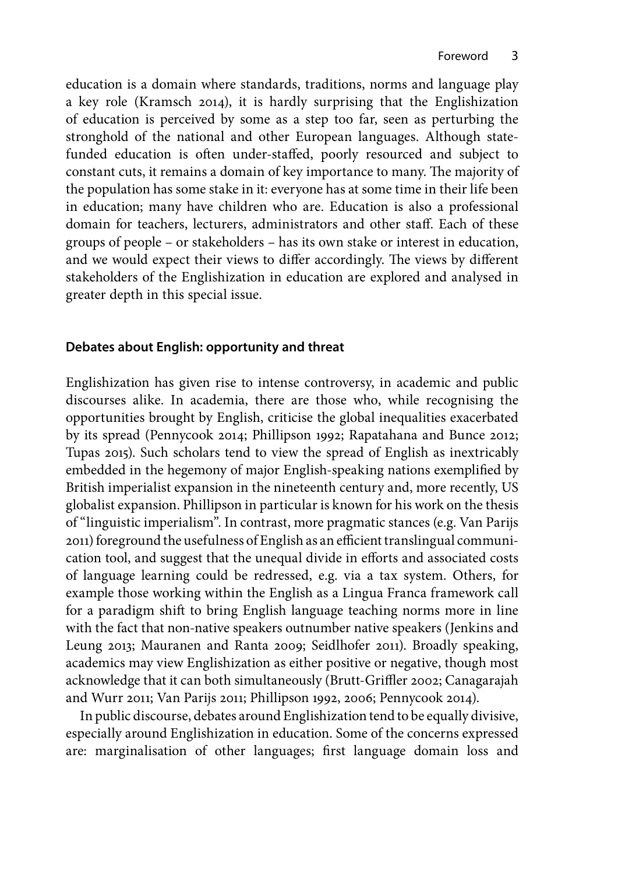education is a domain where standards, traditions, norms and language play a key role (Kramsch 2014), it is hardly surprising that the Englishization of education is perceived by some as a step too far, seen as perturbing the stronghold of the national and other European languages. Although statefunded education is often under-staffed, poorly resourced and subject to constant cuts, it remains a domain of key importance to many. The majority of the population has some stake in it: everyone has at some time in their life been in education; many have children who are. Education is also a professional domain for teachers, lecturers, administrators and other staff. Each of these groups of people – or stakeholders – has its own stake or interest in education, and we would expect their views to differ accordingly. The views by different stakeholders of the Englishization in education are explored and analysed in greater depth in this special issue.

## **Debates about English: opportunity and threat**

Englishization has given rise to intense controversy, in academic and public discourses alike. In academia, there are those who, while recognising the opportunities brought by English, criticise the global inequalities exacerbated by its spread (Pennycook 2014; Phillipson 1992; Rapatahana and Bunce 2012; Tupas 2015). Such scholars tend to view the spread of English as inextricably embedded in the hegemony of major English-speaking nations exemplified by British imperialist expansion in the nineteenth century and, more recently, US globalist expansion. Phillipson in particular is known for his work on the thesis of "linguistic imperialism". In contrast, more pragmatic stances (e.g. Van Parijs 2011) foreground the usefulness of English as an efficient translingual communication tool, and suggest that the unequal divide in efforts and associated costs of language learning could be redressed, e.g. via a tax system. Others, for example those working within the English as a Lingua Franca framework call for a paradigm shift to bring English language teaching norms more in line with the fact that non-native speakers outnumber native speakers (Jenkins and Leung 2013; Mauranen and Ranta 2009; Seidlhofer 2011). Broadly speaking, academics may view Englishization as either positive or negative, though most acknowledge that it can both simultaneously (Brutt-Griffler 2002; Canagarajah and Wurr 2011; Van Parijs 2011; Phillipson 1992, 2006; Pennycook 2014).

In public discourse, debates around Englishization tend to be equally divisive, especially around Englishization in education. Some of the concerns expressed are: marginalisation of other languages; first language domain loss and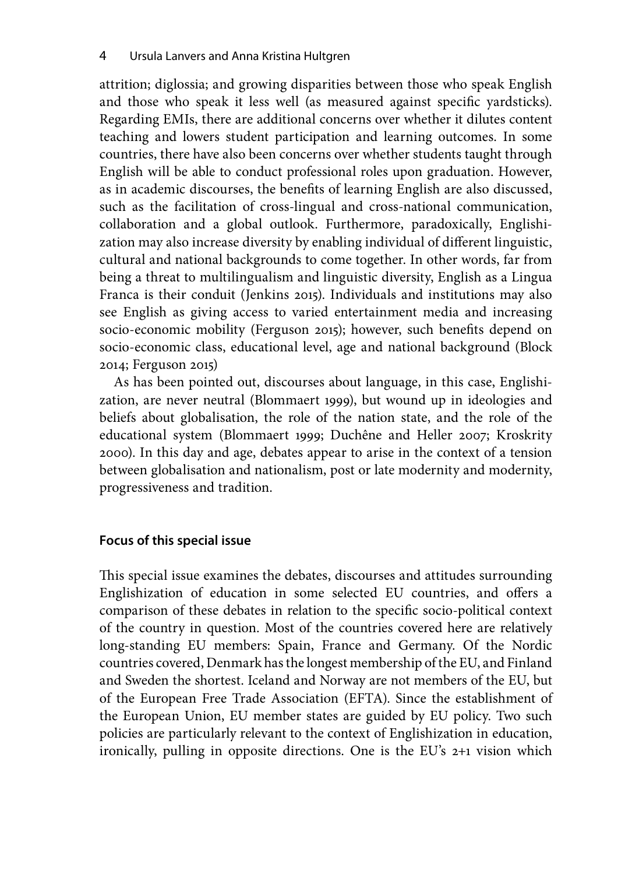attrition; diglossia; and growing disparities between those who speak English and those who speak it less well (as measured against specific yardsticks). Regarding EMIs, there are additional concerns over whether it dilutes content teaching and lowers student participation and learning outcomes. In some countries, there have also been concerns over whether students taught through English will be able to conduct professional roles upon graduation. However, as in academic discourses, the benefits of learning English are also discussed, such as the facilitation of cross-lingual and cross-national communication, collaboration and a global outlook. Furthermore, paradoxically, Englishization may also increase diversity by enabling individual of different linguistic, cultural and national backgrounds to come together. In other words, far from being a threat to multilingualism and linguistic diversity, English as a Lingua Franca is their conduit (Jenkins 2015). Individuals and institutions may also see English as giving access to varied entertainment media and increasing socio-economic mobility (Ferguson 2015); however, such benefits depend on socio-economic class, educational level, age and national background (Block 2014; Ferguson 2015)

As has been pointed out, discourses about language, in this case, Englishization, are never neutral (Blommaert 1999), but wound up in ideologies and beliefs about globalisation, the role of the nation state, and the role of the educational system (Blommaert 1999; Duchêne and Heller 2007; Kroskrity 2000). In this day and age, debates appear to arise in the context of a tension between globalisation and nationalism, post or late modernity and modernity, progressiveness and tradition.

### **Focus of this special issue**

This special issue examines the debates, discourses and attitudes surrounding Englishization of education in some selected EU countries, and offers a comparison of these debates in relation to the specific socio-political context of the country in question. Most of the countries covered here are relatively long-standing EU members: Spain, France and Germany. Of the Nordic countries covered, Denmark has the longest membership of the EU, and Finland and Sweden the shortest. Iceland and Norway are not members of the EU, but of the European Free Trade Association (EFTA). Since the establishment of the European Union, EU member states are guided by EU policy. Two such policies are particularly relevant to the context of Englishization in education, ironically, pulling in opposite directions. One is the EU's 2+1 vision which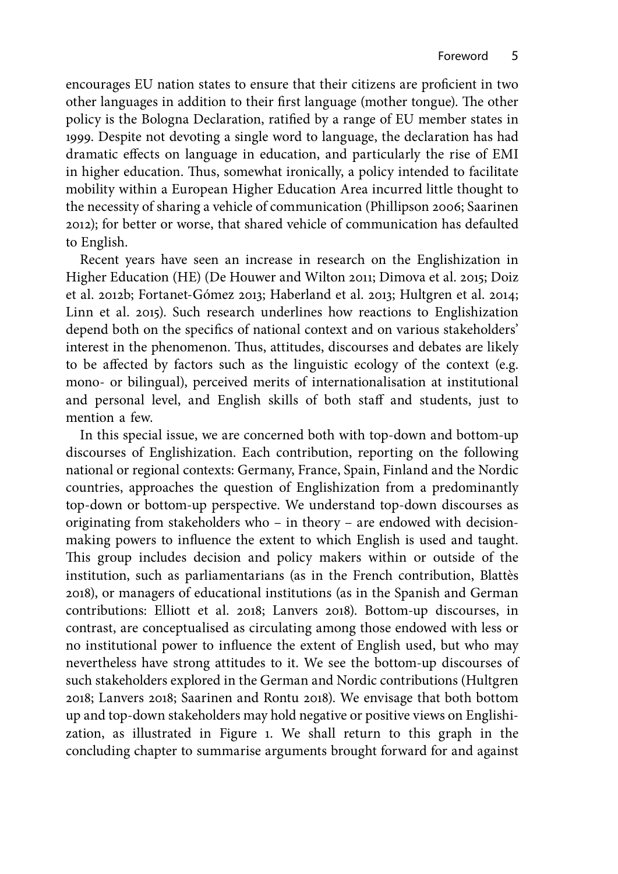encourages EU nation states to ensure that their citizens are proficient in two other languages in addition to their first language (mother tongue). The other policy is the Bologna Declaration, ratified by a range of EU member states in 1999. Despite not devoting a single word to language, the declaration has had dramatic effects on language in education, and particularly the rise of EMI in higher education. Thus, somewhat ironically, a policy intended to facilitate mobility within a European Higher Education Area incurred little thought to the necessity of sharing a vehicle of communication (Phillipson 2006; Saarinen 2012); for better or worse, that shared vehicle of communication has defaulted to English.

Recent years have seen an increase in research on the Englishization in Higher Education (HE) (De Houwer and Wilton 2011; Dimova et al. 2015; Doiz et al. 2012b; Fortanet-Gómez 2013; Haberland et al. 2013; Hultgren et al. 2014; Linn et al. 2015). Such research underlines how reactions to Englishization depend both on the specifics of national context and on various stakeholders' interest in the phenomenon. Thus, attitudes, discourses and debates are likely to be affected by factors such as the linguistic ecology of the context (e.g. mono- or bilingual), perceived merits of internationalisation at institutional and personal level, and English skills of both staff and students, just to mention a few.

In this special issue, we are concerned both with top-down and bottom-up discourses of Englishization. Each contribution, reporting on the following national or regional contexts: Germany, France, Spain, Finland and the Nordic countries, approaches the question of Englishization from a predominantly top-down or bottom-up perspective. We understand top-down discourses as originating from stakeholders who – in theory – are endowed with decisionmaking powers to influence the extent to which English is used and taught. This group includes decision and policy makers within or outside of the institution, such as parliamentarians (as in the French contribution, Blattès 2018), or managers of educational institutions (as in the Spanish and German contributions: Elliott et al. 2018; Lanvers 2018). Bottom-up discourses, in contrast, are conceptualised as circulating among those endowed with less or no institutional power to influence the extent of English used, but who may nevertheless have strong attitudes to it. We see the bottom-up discourses of such stakeholders explored in the German and Nordic contributions (Hultgren 2018; Lanvers 2018; Saarinen and Rontu 2018). We envisage that both bottom up and top-down stakeholders may hold negative or positive views on Englishization, as illustrated in Figure 1. We shall return to this graph in the concluding chapter to summarise arguments brought forward for and against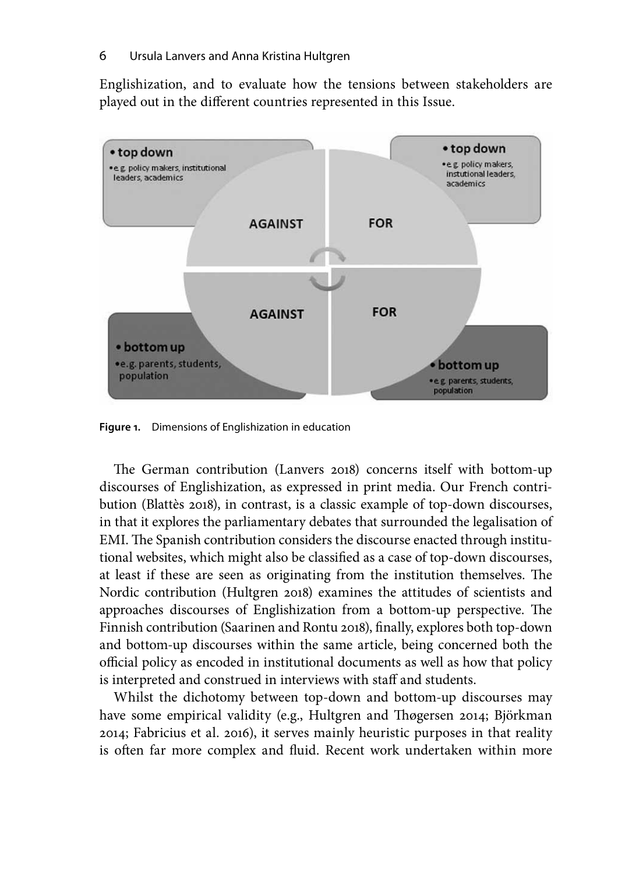Englishization, and to evaluate how the tensions between stakeholders are played out in the different countries represented in this Issue.



**Figure 1.** Dimensions of Englishization in education

The German contribution (Lanvers 2018) concerns itself with bottom-up discourses of Englishization, as expressed in print media. Our French contribution (Blattès 2018), in contrast, is a classic example of top-down discourses, in that it explores the parliamentary debates that surrounded the legalisation of EMI. The Spanish contribution considers the discourse enacted through institutional websites, which might also be classified as a case of top-down discourses, at least if these are seen as originating from the institution themselves. The Nordic contribution (Hultgren 2018) examines the attitudes of scientists and approaches discourses of Englishization from a bottom-up perspective. The Finnish contribution (Saarinen and Rontu 2018), finally, explores both top-down and bottom-up discourses within the same article, being concerned both the official policy as encoded in institutional documents as well as how that policy is interpreted and construed in interviews with staff and students.

Whilst the dichotomy between top-down and bottom-up discourses may have some empirical validity (e.g., Hultgren and Thøgersen 2014; Björkman 2014; Fabricius et al. 2016), it serves mainly heuristic purposes in that reality is often far more complex and fluid. Recent work undertaken within more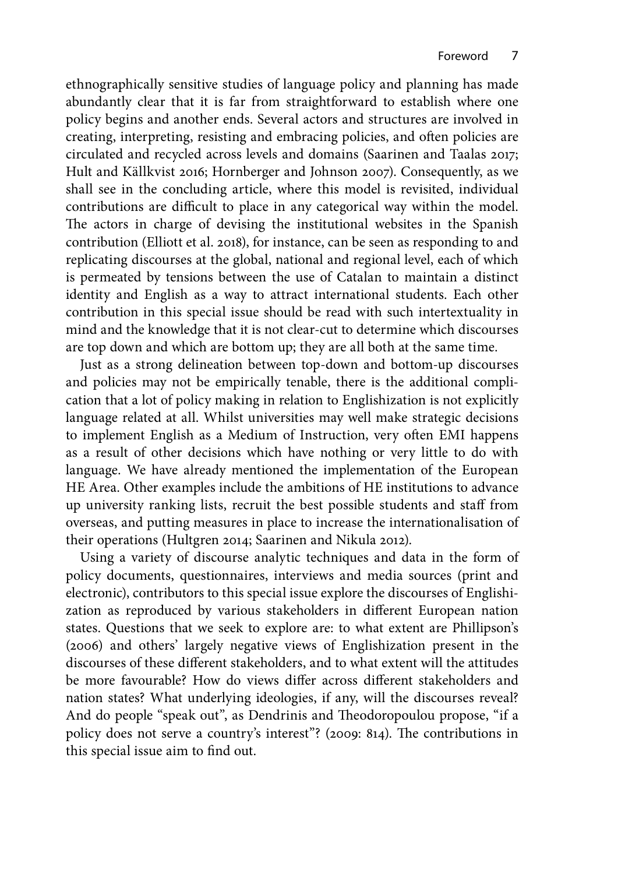ethnographically sensitive studies of language policy and planning has made abundantly clear that it is far from straightforward to establish where one policy begins and another ends. Several actors and structures are involved in creating, interpreting, resisting and embracing policies, and often policies are circulated and recycled across levels and domains (Saarinen and Taalas 2017; Hult and Källkvist 2016; Hornberger and Johnson 2007). Consequently, as we shall see in the concluding article, where this model is revisited, individual contributions are difficult to place in any categorical way within the model. The actors in charge of devising the institutional websites in the Spanish contribution (Elliott et al. 2018), for instance, can be seen as responding to and replicating discourses at the global, national and regional level, each of which is permeated by tensions between the use of Catalan to maintain a distinct identity and English as a way to attract international students. Each other contribution in this special issue should be read with such intertextuality in mind and the knowledge that it is not clear-cut to determine which discourses are top down and which are bottom up; they are all both at the same time.

Just as a strong delineation between top-down and bottom-up discourses and policies may not be empirically tenable, there is the additional complication that a lot of policy making in relation to Englishization is not explicitly language related at all. Whilst universities may well make strategic decisions to implement English as a Medium of Instruction, very often EMI happens as a result of other decisions which have nothing or very little to do with language. We have already mentioned the implementation of the European HE Area. Other examples include the ambitions of HE institutions to advance up university ranking lists, recruit the best possible students and staff from overseas, and putting measures in place to increase the internationalisation of their operations (Hultgren 2014; Saarinen and Nikula 2012).

Using a variety of discourse analytic techniques and data in the form of policy documents, questionnaires, interviews and media sources (print and electronic), contributors to this special issue explore the discourses of Englishization as reproduced by various stakeholders in different European nation states. Questions that we seek to explore are: to what extent are Phillipson's (2006) and others' largely negative views of Englishization present in the discourses of these different stakeholders, and to what extent will the attitudes be more favourable? How do views differ across different stakeholders and nation states? What underlying ideologies, if any, will the discourses reveal? And do people "speak out", as Dendrinis and Theodoropoulou propose, "if a policy does not serve a country's interest"? (2009: 814). The contributions in this special issue aim to find out.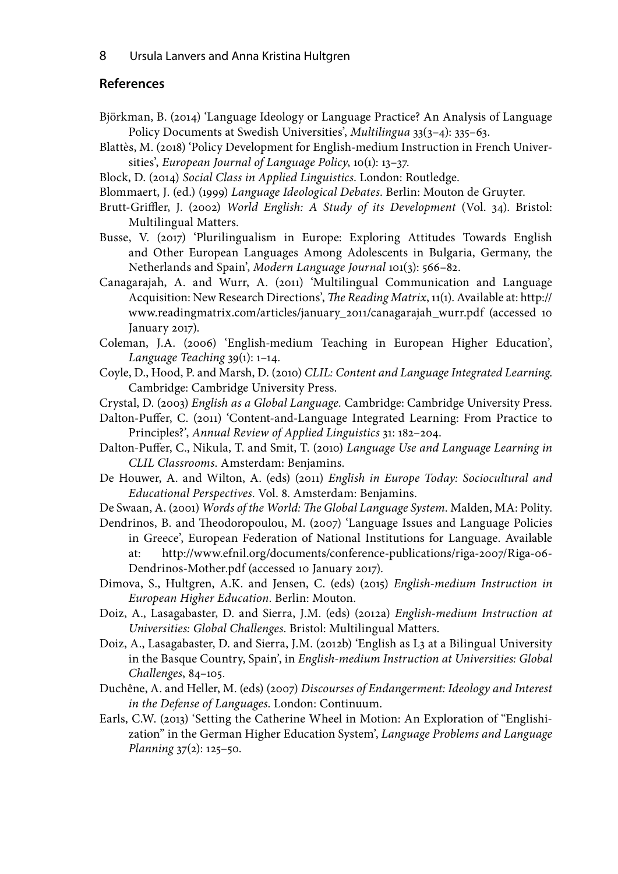8 Ursula Lanvers and Anna Kristina Hultgren

### **References**

- Björkman, B. (2014) 'Language Ideology or Language Practice? An Analysis of Language Policy Documents at Swedish Universities', Multilingua 33(3–4): 335–63.
- Blattès, M. (2018) 'Policy Development for English-medium Instruction in French Universities', European Journal of Language Policy, 10(1): 13–37.
- Block, D. (2014) Social Class in Applied Linguistics. London: Routledge.
- Blommaert, J. (ed.) (1999) Language Ideological Debates. Berlin: Mouton de Gruyter.
- Brutt-Griffler, J. (2002) World English: A Study of its Development (Vol. 34). Bristol: Multilingual Matters.
- Busse, V. (2017) 'Plurilingualism in Europe: Exploring Attitudes Towards English and Other European Languages Among Adolescents in Bulgaria, Germany, the Netherlands and Spain', Modern Language Journal 101(3): 566–82.
- Canagarajah, A. and Wurr, A. (2011) 'Multilingual Communication and Language Acquisition: New Research Directions', The Reading Matrix, 11(1). Available at: http:// www.readingmatrix.com/articles/january\_2011/canagarajah\_wurr.pdf (accessed 10 January 2017).
- Coleman, J.A. (2006) 'English-medium Teaching in European Higher Education', Language Teaching 39(1): 1–14.
- Coyle, D., Hood, P. and Marsh, D. (2010) CLIL: Content and Language Integrated Learning. Cambridge: Cambridge University Press.
- Crystal, D. (2003) English as a Global Language. Cambridge: Cambridge University Press.
- Dalton-Puffer, C. (2011) 'Content-and-Language Integrated Learning: From Practice to Principles?', Annual Review of Applied Linguistics 31: 182–204.
- Dalton-Puffer, C., Nikula, T. and Smit, T. (2010) Language Use and Language Learning in CLIL Classrooms. Amsterdam: Benjamins.
- De Houwer, A. and Wilton, A. (eds) (2011) English in Europe Today: Sociocultural and Educational Perspectives. Vol. 8. Amsterdam: Benjamins.
- De Swaan, A. (2001) Words of the World: The Global Language System. Malden, MA: Polity.
- Dendrinos, B. and Theodoropoulou, M. (2007) 'Language Issues and Language Policies in Greece', European Federation of National Institutions for Language. Available at: http://www.efnil.org/documents/conference-publications/riga-2007/Riga-06- Dendrinos-Mother.pdf (accessed 10 January 2017).
- Dimova, S., Hultgren, A.K. and Jensen, C. (eds) (2015) English-medium Instruction in European Higher Education. Berlin: Mouton.
- Doiz, A., Lasagabaster, D. and Sierra, J.M. (eds) (2012a) English-medium Instruction at Universities: Global Challenges. Bristol: Multilingual Matters.
- Doiz, A., Lasagabaster, D. and Sierra, J.M. (2012b) 'English as L3 at a Bilingual University in the Basque Country, Spain', in English-medium Instruction at Universities: Global Challenges, 84–105.
- Duchêne, A. and Heller, M. (eds) (2007) Discourses of Endangerment: Ideology and Interest in the Defense of Languages. London: Continuum.
- Earls, C.W. (2013) 'Setting the Catherine Wheel in Motion: An Exploration of "Englishization" in the German Higher Education System', Language Problems and Language Planning 37(2): 125–50.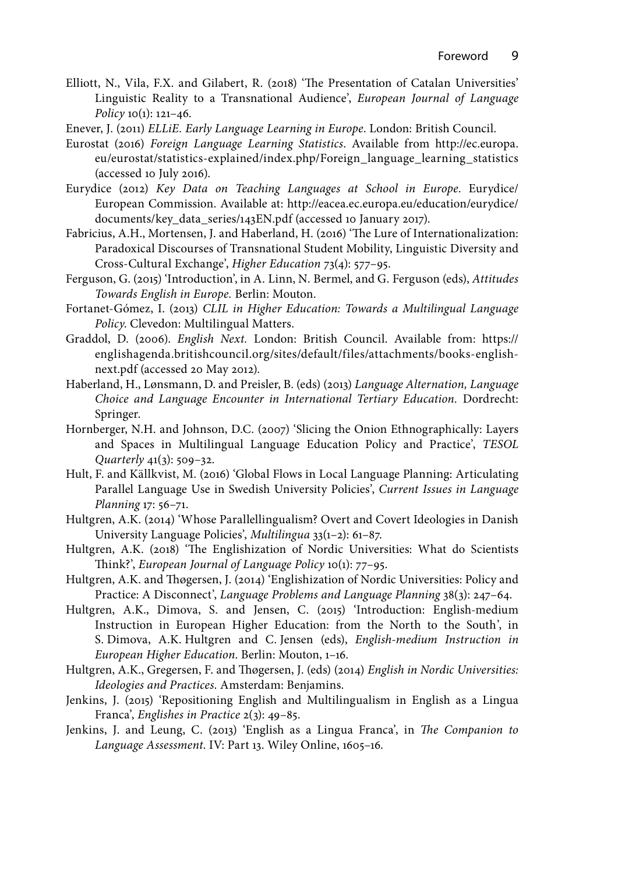- Elliott, N., Vila, F.X. and Gilabert, R. (2018) 'The Presentation of Catalan Universities' Linguistic Reality to a Transnational Audience', European Journal of Language Policy 10(1): 121–46.
- Enever, J. (2011) ELLiE. Early Language Learning in Europe. London: British Council.
- Eurostat (2016) Foreign Language Learning Statistics. Available from http://ec.europa. eu/eurostat/statistics-explained/index.php/Foreign\_language\_learning\_statistics (accessed 10 July 2016).
- Eurydice (2012) Key Data on Teaching Languages at School in Europe. Eurydice/ European Commission. Available at: http://eacea.ec.europa.eu/education/eurydice/ documents/key\_data\_series/143EN.pdf (accessed 10 January 2017).
- Fabricius, A.H., Mortensen, J. and Haberland, H. (2016) 'The Lure of Internationalization: Paradoxical Discourses of Transnational Student Mobility, Linguistic Diversity and Cross-Cultural Exchange', Higher Education 73(4): 577–95.
- Ferguson, G. (2015) 'Introduction', in A. Linn, N. Bermel, and G. Ferguson (eds), Attitudes Towards English in Europe. Berlin: Mouton.
- Fortanet-Gómez, I. (2013) CLIL in Higher Education: Towards a Multilingual Language Policy. Clevedon: Multilingual Matters.
- Graddol, D. (2006). English Next. London: British Council. Available from: https:// englishagenda.britishcouncil.org/sites/default/files/attachments/books-englishnext.pdf (accessed 20 May 2012).
- Haberland, H., Lønsmann, D. and Preisler, B. (eds) (2013) Language Alternation, Language Choice and Language Encounter in International Tertiary Education. Dordrecht: Springer.
- Hornberger, N.H. and Johnson, D.C. (2007) 'Slicing the Onion Ethnographically: Layers and Spaces in Multilingual Language Education Policy and Practice', TESOL Quarterly 41(3): 509–32.
- Hult, F. and Källkvist, M. (2016) 'Global Flows in Local Language Planning: Articulating Parallel Language Use in Swedish University Policies', Current Issues in Language Planning 17: 56–71.
- Hultgren, A.K. (2014) 'Whose Parallellingualism? Overt and Covert Ideologies in Danish University Language Policies', Multilingua 33(1–2): 61–87.
- Hultgren, A.K. (2018) 'The Englishization of Nordic Universities: What do Scientists Think?', European Journal of Language Policy 10(1): 77–95.
- Hultgren, A.K. and Thøgersen, J. (2014) 'Englishization of Nordic Universities: Policy and Practice: A Disconnect', Language Problems and Language Planning 38(3): 247-64.
- Hultgren, A.K., Dimova, S. and Jensen, C. (2015) 'Introduction: English-medium Instruction in European Higher Education: from the North to the South', in S. Dimova, A.K. Hultgren and C. Jensen (eds), English-medium Instruction in European Higher Education. Berlin: Mouton, 1–16.
- Hultgren, A.K., Gregersen, F. and Thøgersen, J. (eds) (2014) English in Nordic Universities: Ideologies and Practices. Amsterdam: Benjamins.
- Jenkins, J. (2015) 'Repositioning English and Multilingualism in English as a Lingua Franca', Englishes in Practice 2(3): 49–85.
- Jenkins, J. and Leung, C. (2013) 'English as a Lingua Franca', in The Companion to Language Assessment. IV: Part 13. Wiley Online, 1605–16.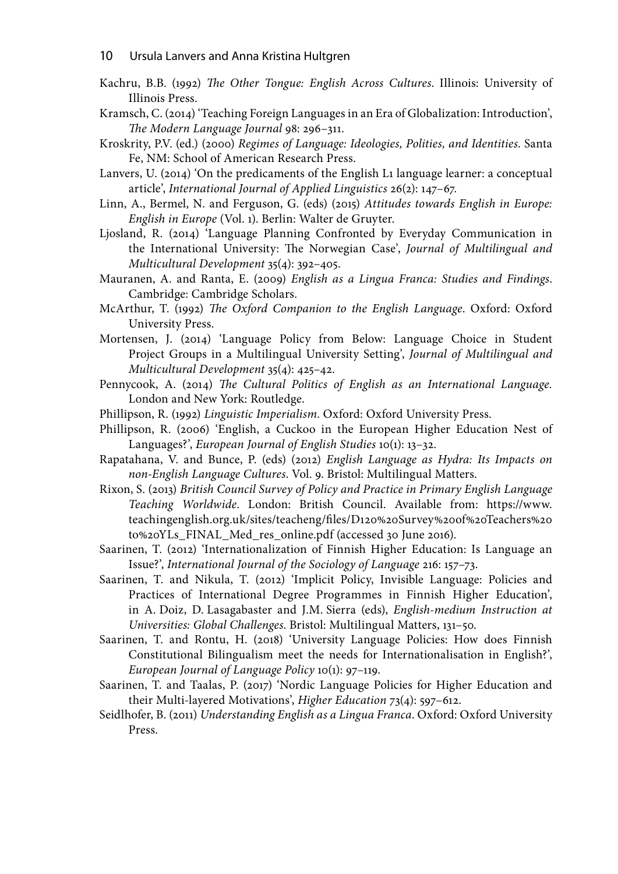- 10 Ursula Lanvers and Anna Kristina Hultgren
- Kachru, B.B. (1992) The Other Tongue: English Across Cultures. Illinois: University of Illinois Press.
- Kramsch, C. (2014) 'Teaching Foreign Languages in an Era of Globalization: Introduction', The Modern Language Journal 98: 296–311.
- Kroskrity, P.V. (ed.) (2000) Regimes of Language: Ideologies, Polities, and Identities. Santa Fe, NM: School of American Research Press.
- Lanvers, U. (2014) 'On the predicaments of the English L1 language learner: a conceptual article', International Journal of Applied Linguistics 26(2): 147–67.
- Linn, A., Bermel, N. and Ferguson, G. (eds) (2015) Attitudes towards English in Europe: English in Europe (Vol. 1). Berlin: Walter de Gruyter.
- Ljosland, R. (2014) 'Language Planning Confronted by Everyday Communication in the International University: The Norwegian Case', Journal of Multilingual and Multicultural Development 35(4): 392–405.
- Mauranen, A. and Ranta, E. (2009) English as a Lingua Franca: Studies and Findings. Cambridge: Cambridge Scholars.
- McArthur, T. (1992) The Oxford Companion to the English Language. Oxford: Oxford University Press.
- Mortensen, J. (2014) 'Language Policy from Below: Language Choice in Student Project Groups in a Multilingual University Setting', Journal of Multilingual and Multicultural Development 35(4): 425–42.
- Pennycook, A. (2014) The Cultural Politics of English as an International Language. London and New York: Routledge.
- Phillipson, R. (1992) Linguistic Imperialism. Oxford: Oxford University Press.
- Phillipson, R. (2006) 'English, a Cuckoo in the European Higher Education Nest of Languages?', European Journal of English Studies 10(1): 13–32.
- Rapatahana, V. and Bunce, P. (eds) (2012) English Language as Hydra: Its Impacts on non-English Language Cultures. Vol. 9. Bristol: Multilingual Matters.
- Rixon, S. (2013) British Council Survey of Policy and Practice in Primary English Language Teaching Worldwide. London: British Council. Available from: https://www. teachingenglish.org.uk/sites/teacheng/files/D120%20Survey%20of%20Teachers%20 to%20YLs\_FINAL\_Med\_res\_online.pdf (accessed 30 June 2016).
- Saarinen, T. (2012) 'Internationalization of Finnish Higher Education: Is Language an Issue?', International Journal of the Sociology of Language 216: 157–73.
- Saarinen, T. and Nikula, T. (2012) 'Implicit Policy, Invisible Language: Policies and Practices of International Degree Programmes in Finnish Higher Education', in A. Doiz, D. Lasagabaster and J.M. Sierra (eds), English-medium Instruction at Universities: Global Challenges. Bristol: Multilingual Matters, 131–50.
- Saarinen, T. and Rontu, H. (2018) 'University Language Policies: How does Finnish Constitutional Bilingualism meet the needs for Internationalisation in English?', European Journal of Language Policy 10(1): 97–119.
- Saarinen, T. and Taalas, P. (2017) 'Nordic Language Policies for Higher Education and their Multi-layered Motivations', Higher Education 73(4): 597–612.
- Seidlhofer, B. (2011) Understanding English as a Lingua Franca. Oxford: Oxford University Press.